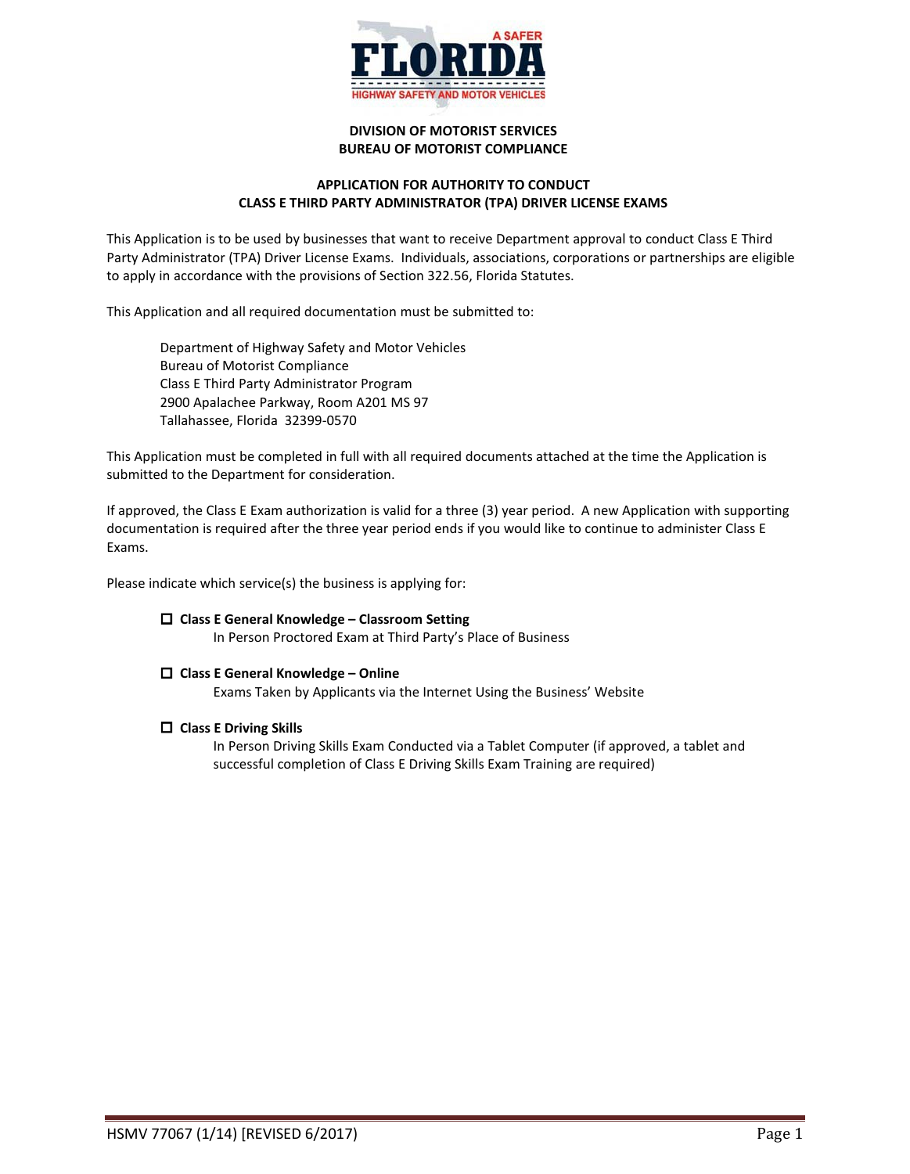

# **DIVISION OF MOTORIST SERVICES BUREAU OF MOTORIST COMPLIANCE**

# **APPLICATION FOR AUTHORITY TO CONDUCT CLASS E THIRD PARTY ADMINISTRATOR (TPA) DRIVER LICENSE EXAMS**

This Application is to be used by businesses that want to receive Department approval to conduct Class E Third Party Administrator (TPA) Driver License Exams. Individuals, associations, corporations or partnerships are eligible to apply in accordance with the provisions of Section 322.56, Florida Statutes.

This Application and all required documentation must be submitted to:

Department of Highway Safety and Motor Vehicles Bureau of Motorist Compliance Class E Third Party Administrator Program 2900 Apalachee Parkway, Room A201 MS 97 Tallahassee, Florida 32399-0570

This Application must be completed in full with all required documents attached at the time the Application is submitted to the Department for consideration.

If approved, the Class E Exam authorization is valid for a three (3) year period. A new Application with supporting documentation is required after the three year period ends if you would like to continue to administer Class E Exams.

Please indicate which service(s) the business is applying for:

# **Class E General Knowledge – Classroom Setting**

In Person Proctored Exam at Third Party's Place of Business

# **Class E General Knowledge – Online**

Exams Taken by Applicants via the Internet Using the Business' Website

#### **Class E Driving Skills**

In Person Driving Skills Exam Conducted via a Tablet Computer (if approved, a tablet and successful completion of Class E Driving Skills Exam Training are required)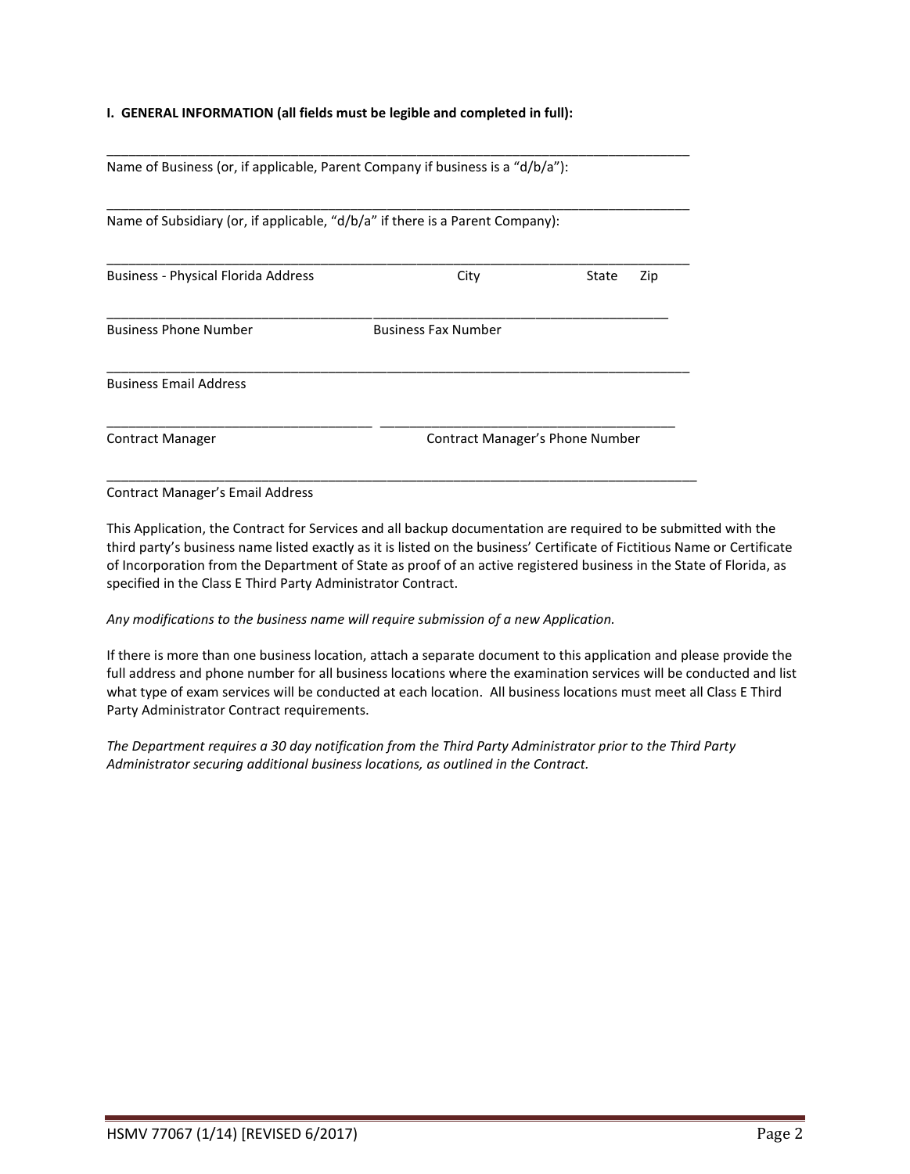# **I. GENERAL INFORMATION (all fields must be legible and completed in full):**

Name of Business (or, if applicable, Parent Company if business is a "d/b/a"):

Name of Subsidiary (or, if applicable, "d/b/a" if there is a Parent Company):

| <b>Business - Physical Florida Address</b> | City                       | State<br>Zip                    |  |  |
|--------------------------------------------|----------------------------|---------------------------------|--|--|
| <b>Business Phone Number</b>               | <b>Business Fax Number</b> |                                 |  |  |
| <b>Business Email Address</b>              |                            |                                 |  |  |
| <b>Contract Manager</b>                    |                            | Contract Manager's Phone Number |  |  |

\_\_\_\_\_\_\_\_\_\_\_\_\_\_\_\_\_\_\_\_\_\_\_\_\_\_\_\_\_\_\_\_\_\_\_\_\_\_\_\_\_\_\_\_\_\_\_\_\_\_\_\_\_\_\_\_\_\_\_\_\_\_\_\_\_\_\_\_\_\_\_\_\_\_\_\_\_\_\_\_

\_\_\_\_\_\_\_\_\_\_\_\_\_\_\_\_\_\_\_\_\_\_\_\_\_\_\_\_\_\_\_\_\_\_\_\_\_\_\_\_\_\_\_\_\_\_\_\_\_\_\_\_\_\_\_\_\_\_\_\_\_\_\_\_\_\_\_\_\_\_\_\_\_\_\_\_\_\_\_

\_\_\_\_\_\_\_\_\_\_\_\_\_\_\_\_\_\_\_\_\_\_\_\_\_\_\_\_\_\_\_\_\_\_\_\_\_\_\_\_\_\_\_\_\_\_\_\_\_\_\_\_\_\_\_\_\_\_\_\_\_\_\_\_\_\_\_\_\_\_\_\_\_\_\_\_\_\_\_

Contract Manager's Email Address

This Application, the Contract for Services and all backup documentation are required to be submitted with the third party's business name listed exactly as it is listed on the business' Certificate of Fictitious Name or Certificate of Incorporation from the Department of State as proof of an active registered business in the State of Florida, as specified in the Class E Third Party Administrator Contract.

*Any modifications to the business name will require submission of a new Application.*

If there is more than one business location, attach a separate document to this application and please provide the full address and phone number for all business locations where the examination services will be conducted and list what type of exam services will be conducted at each location. All business locations must meet all Class E Third Party Administrator Contract requirements.

*The Department requires a 30 day notification from the Third Party Administrator prior to the Third Party Administrator securing additional business locations, as outlined in the Contract.*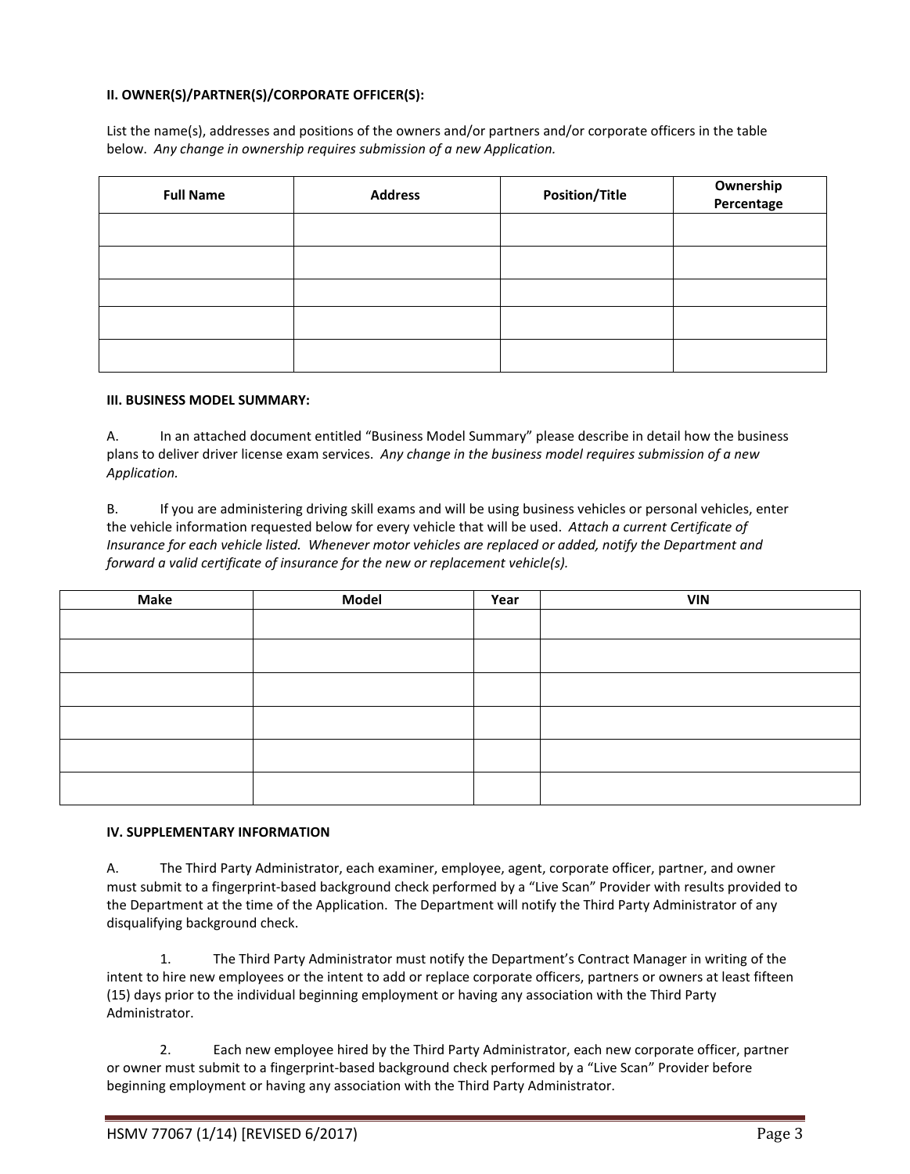# **II. OWNER(S)/PARTNER(S)/CORPORATE OFFICER(S):**

List the name(s), addresses and positions of the owners and/or partners and/or corporate officers in the table below. *Any change in ownership requires submission of a new Application.*

| <b>Full Name</b> | <b>Address</b> | <b>Position/Title</b> | Ownership<br>Percentage |
|------------------|----------------|-----------------------|-------------------------|
|                  |                |                       |                         |
|                  |                |                       |                         |
|                  |                |                       |                         |
|                  |                |                       |                         |
|                  |                |                       |                         |

# **III. BUSINESS MODEL SUMMARY:**

A. In an attached document entitled "Business Model Summary" please describe in detail how the business plans to deliver driver license exam services. *Any change in the business model requires submission of a new Application.*

B. If you are administering driving skill exams and will be using business vehicles or personal vehicles, enter the vehicle information requested below for every vehicle that will be used. *Attach a current Certificate of Insurance for each vehicle listed. Whenever motor vehicles are replaced or added, notify the Department and forward a valid certificate of insurance for the new or replacement vehicle(s).*

| <b>Make</b> | <b>Model</b> | Year | <b>VIN</b> |
|-------------|--------------|------|------------|
|             |              |      |            |
|             |              |      |            |
|             |              |      |            |
|             |              |      |            |
|             |              |      |            |
|             |              |      |            |

# **IV. SUPPLEMENTARY INFORMATION**

A. The Third Party Administrator, each examiner, employee, agent, corporate officer, partner, and owner must submit to a fingerprint-based background check performed by a "Live Scan" Provider with results provided to the Department at the time of the Application. The Department will notify the Third Party Administrator of any disqualifying background check.

1. The Third Party Administrator must notify the Department's Contract Manager in writing of the intent to hire new employees or the intent to add or replace corporate officers, partners or owners at least fifteen (15) days prior to the individual beginning employment or having any association with the Third Party Administrator.

2. Each new employee hired by the Third Party Administrator, each new corporate officer, partner or owner must submit to a fingerprint-based background check performed by a "Live Scan" Provider before beginning employment or having any association with the Third Party Administrator.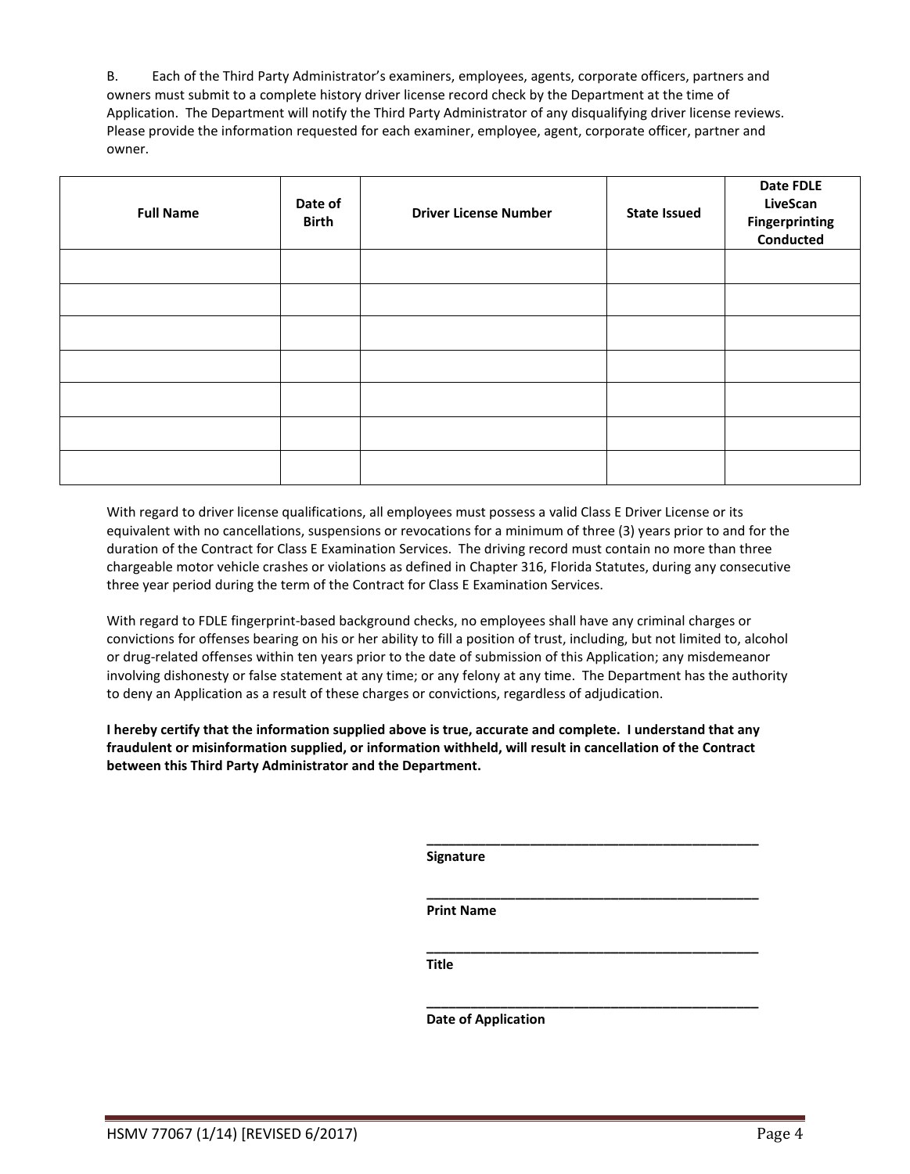B. Each of the Third Party Administrator's examiners, employees, agents, corporate officers, partners and owners must submit to a complete history driver license record check by the Department at the time of Application. The Department will notify the Third Party Administrator of any disqualifying driver license reviews. Please provide the information requested for each examiner, employee, agent, corporate officer, partner and owner.

| <b>Full Name</b> | Date of<br><b>Birth</b> | <b>Driver License Number</b> | <b>State Issued</b> | Date FDLE<br><b>LiveScan</b><br>Fingerprinting<br>Conducted |
|------------------|-------------------------|------------------------------|---------------------|-------------------------------------------------------------|
|                  |                         |                              |                     |                                                             |
|                  |                         |                              |                     |                                                             |
|                  |                         |                              |                     |                                                             |
|                  |                         |                              |                     |                                                             |
|                  |                         |                              |                     |                                                             |
|                  |                         |                              |                     |                                                             |
|                  |                         |                              |                     |                                                             |

With regard to driver license qualifications, all employees must possess a valid Class E Driver License or its equivalent with no cancellations, suspensions or revocations for a minimum of three (3) years prior to and for the duration of the Contract for Class E Examination Services. The driving record must contain no more than three chargeable motor vehicle crashes or violations as defined in Chapter 316, Florida Statutes, during any consecutive three year period during the term of the Contract for Class E Examination Services.

With regard to FDLE fingerprint-based background checks, no employees shall have any criminal charges or convictions for offenses bearing on his or her ability to fill a position of trust, including, but not limited to, alcohol or drug-related offenses within ten years prior to the date of submission of this Application; any misdemeanor involving dishonesty or false statement at any time; or any felony at any time. The Department has the authority to deny an Application as a result of these charges or convictions, regardless of adjudication.

**I hereby certify that the information supplied above is true, accurate and complete. I understand that any fraudulent or misinformation supplied, or information withheld, will result in cancellation of the Contract between this Third Party Administrator and the Department.**

**Signature**

**\_\_\_\_\_\_\_\_\_\_\_\_\_\_\_\_\_\_\_\_\_\_\_\_\_\_\_\_\_\_\_\_\_\_\_\_\_\_\_\_\_\_\_\_\_**

**\_\_\_\_\_\_\_\_\_\_\_\_\_\_\_\_\_\_\_\_\_\_\_\_\_\_\_\_\_\_\_\_\_\_\_\_\_\_\_\_\_\_\_\_\_**

**\_\_\_\_\_\_\_\_\_\_\_\_\_\_\_\_\_\_\_\_\_\_\_\_\_\_\_\_\_\_\_\_\_\_\_\_\_\_\_\_\_\_\_\_\_**

**\_\_\_\_\_\_\_\_\_\_\_\_\_\_\_\_\_\_\_\_\_\_\_\_\_\_\_\_\_\_\_\_\_\_\_\_\_\_\_\_\_\_\_\_\_**

**Print Name**

**Title**

**Date of Application**